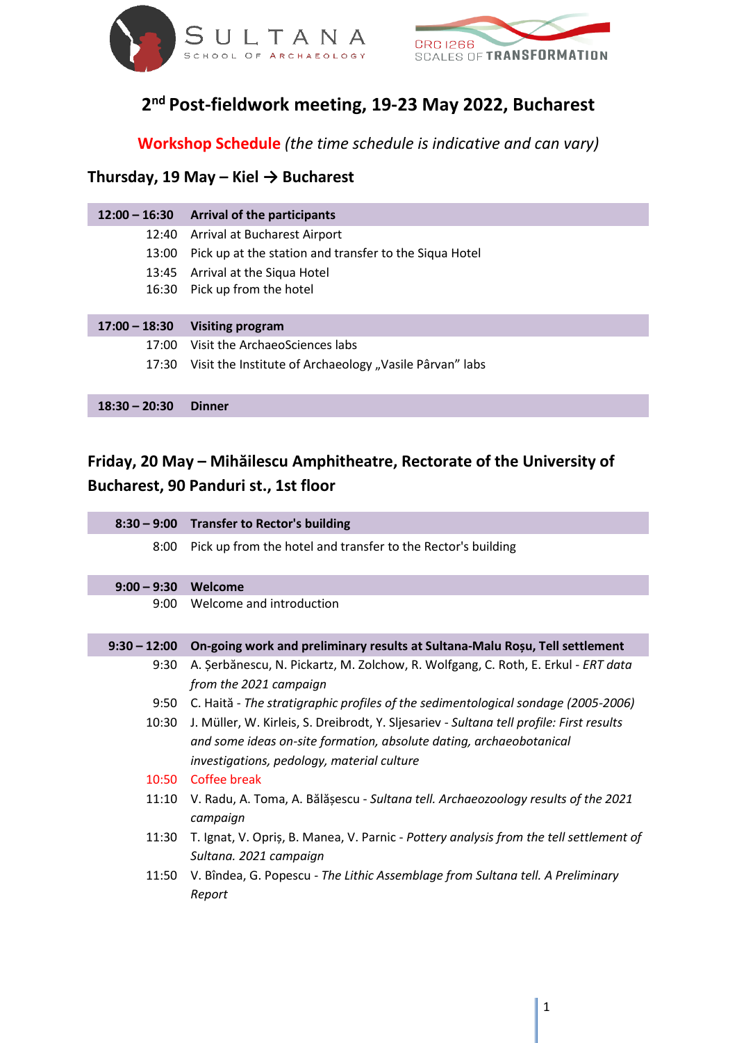



## **2 nd Post-fieldwork meeting, 19-23 May 2022, Bucharest**

**Workshop Schedule** *(the time schedule is indicative and can vary)*

### **Thursday, 19 May – Kiel → Bucharest**

| $12:00 - 16:30$ | <b>Arrival of the participants</b>                      |
|-----------------|---------------------------------------------------------|
| 12:40           | <b>Arrival at Bucharest Airport</b>                     |
| 13:00           | Pick up at the station and transfer to the Siqua Hotel  |
| 13:45           | Arrival at the Siqua Hotel                              |
| 16:30           | Pick up from the hotel                                  |
|                 |                                                         |
|                 |                                                         |
| $17:00 - 18:30$ | <b>Visiting program</b>                                 |
| 17:00           | Visit the ArchaeoSciences labs                          |
| 17:30           | Visit the Institute of Archaeology "Vasile Pârvan" labs |
|                 |                                                         |
| $18:30 - 20:30$ | <b>Dinner</b>                                           |

## **Friday, 20 May – Mihăilescu Amphitheatre, Rectorate of the University of Bucharest, 90 Panduri st., 1st floor**

|                | 8:30 - 9:00 Transfer to Rector's building                                                                                                                                                                     |
|----------------|---------------------------------------------------------------------------------------------------------------------------------------------------------------------------------------------------------------|
| 8:00           | Pick up from the hotel and transfer to the Rector's building                                                                                                                                                  |
| $9:00 - 9:30$  | Welcome                                                                                                                                                                                                       |
| 9:00           | Welcome and introduction                                                                                                                                                                                      |
| $9:30 - 12:00$ | On-going work and preliminary results at Sultana-Malu Roșu, Tell settlement                                                                                                                                   |
| 9:30           | A. Şerbănescu, N. Pickartz, M. Zolchow, R. Wolfgang, C. Roth, E. Erkul - ERT data<br>from the 2021 campaign                                                                                                   |
|                | 9:50 C. Haită - The stratigraphic profiles of the sedimentological sondage (2005-2006)                                                                                                                        |
| 10:30          | J. Müller, W. Kirleis, S. Dreibrodt, Y. Sljesariev - Sultana tell profile: First results<br>and some ideas on-site formation, absolute dating, archaeobotanical<br>investigations, pedology, material culture |
|                | 10:50 Coffee break                                                                                                                                                                                            |
| 11:10          | V. Radu, A. Toma, A. Bălășescu - Sultana tell. Archaeozoology results of the 2021<br>campaign                                                                                                                 |
| 11:30          | T. Ignat, V. Opris, B. Manea, V. Parnic - Pottery analysis from the tell settlement of<br>Sultana. 2021 campaign                                                                                              |
| 11:50          | V. Bîndea, G. Popescu - The Lithic Assemblage from Sultana tell. A Preliminary<br>Report                                                                                                                      |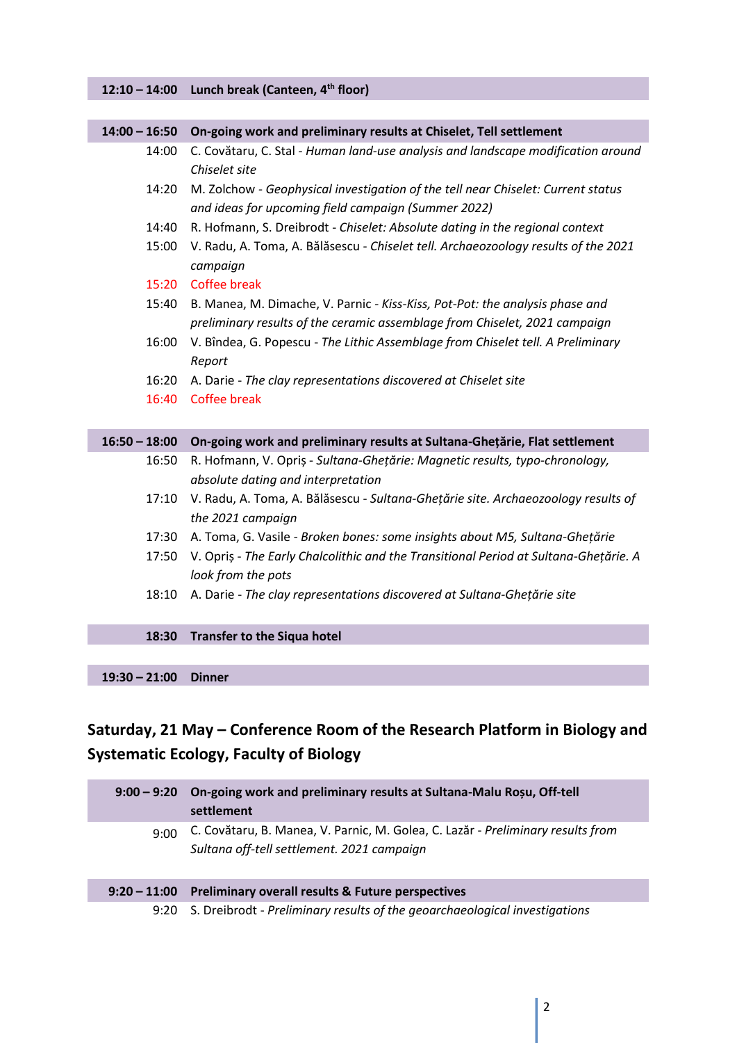#### **12:10 – 14:00 Lunch break (Canteen, 4th floor)**

| $14:00 - 16:50$ | On-going work and preliminary results at Chiselet, Tell settlement                                                                                         |
|-----------------|------------------------------------------------------------------------------------------------------------------------------------------------------------|
| 14:00           | C. Covătaru, C. Stal - Human land-use analysis and landscape modification around<br>Chiselet site                                                          |
| 14:20           | M. Zolchow - Geophysical investigation of the tell near Chiselet: Current status<br>and ideas for upcoming field campaign (Summer 2022)                    |
| 14:40           | R. Hofmann, S. Dreibrodt - Chiselet: Absolute dating in the regional context                                                                               |
| 15:00           | V. Radu, A. Toma, A. Bălăsescu - Chiselet tell. Archaeozoology results of the 2021<br>campaign                                                             |
| 15:20           | <b>Coffee break</b>                                                                                                                                        |
| 15:40           | B. Manea, M. Dimache, V. Parnic - Kiss-Kiss, Pot-Pot: the analysis phase and<br>preliminary results of the ceramic assemblage from Chiselet, 2021 campaign |
| 16:00           | V. Bîndea, G. Popescu - The Lithic Assemblage from Chiselet tell. A Preliminary<br>Report                                                                  |
| 16:20           | A. Darie - The clay representations discovered at Chiselet site                                                                                            |
| 16:40           | <b>Coffee break</b>                                                                                                                                        |
| $16:50 - 18:00$ | On-going work and preliminary results at Sultana-Ghețărie, Flat settlement                                                                                 |
| 16:50           | R. Hofmann, V. Opriș - Sultana-Ghețărie: Magnetic results, typo-chronology,<br>absolute dating and interpretation                                          |
| 17:10           | V. Radu, A. Toma, A. Bălăsescu - Sultana-Ghețărie site. Archaeozoology results of<br>the 2021 campaign                                                     |
| 17:30           | A. Toma, G. Vasile - Broken bones: some insights about M5, Sultana-Ghețărie                                                                                |
| 17:50           | V. Opriș - The Early Chalcolithic and the Transitional Period at Sultana-Ghețărie. A<br>look from the pots                                                 |
| 18:10           | A. Darie - The clay representations discovered at Sultana-Ghețărie site                                                                                    |

#### **18:30 Transfer to the Siqua hotel**

**19:30 – 21:00 Dinner**

# **Saturday, 21 May – Conference Room of the Research Platform in Biology and Systematic Ecology, Faculty of Biology**

|      | 9:00 - 9:20 On-going work and preliminary results at Sultana-Malu Roșu, Off-tell<br>settlement                                |
|------|-------------------------------------------------------------------------------------------------------------------------------|
| 9:00 | C. Covătaru, B. Manea, V. Parnic, M. Golea, C. Lazăr - Preliminary results from<br>Sultana off-tell settlement. 2021 campaign |
|      | 9:20 - 11:00 Preliminary overall results & Future perspectives                                                                |
|      | 9:20 S. Dreibrodt - Preliminary results of the geoarchaeological investigations                                               |